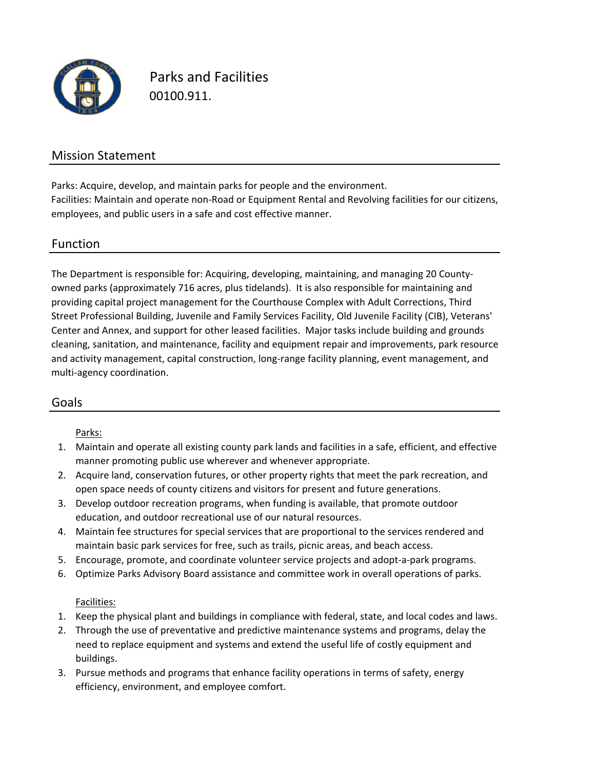

Parks and Facilities 00100.911.

## Mission Statement

Facilities: Maintain and operate non‐Road or Equipment Rental and Revolving facilities for our citizens, employees, and public users in a safe and cost effective manner. Parks: Acquire, develop, and maintain parks for people and the environment.

### Function

The Department is responsible for: Acquiring, developing, maintaining, and managing 20 County‐ owned parks (approximately 716 acres, plus tidelands). It is also responsible for maintaining and providing capital project management for the Courthouse Complex with Adult Corrections, Third Street Professional Building, Juvenile and Family Services Facility, Old Juvenile Facility (CIB), Veterans' Center and Annex, and support for other leased facilities. Major tasks include building and grounds cleaning, sanitation, and maintenance, facility and equipment repair and improvements, park resource and activity management, capital construction, long‐range facility planning, event management, and multi‐agency coordination.

## Goals

#### Parks:

- 1. Maintain and operate all existing county park lands and facilities in a safe, efficient, and effective manner promoting public use wherever and whenever appropriate.
- 2. Acquire land, conservation futures, or other property rights that meet the park recreation, and open space needs of county citizens and visitors for present and future generations.
- 3. Develop outdoor recreation programs, when funding is available, that promote outdoor education, and outdoor recreational use of our natural resources.
- 4. Maintain fee structures for special services that are proportional to the services rendered and maintain basic park services for free, such as trails, picnic areas, and beach access.
- 5. Encourage, promote, and coordinate volunteer service projects and adopt‐a‐park programs.
- 6. Optimize Parks Advisory Board assistance and committee work in overall operations of parks.

#### Facilities:

- 1. Keep the physical plant and buildings in compliance with federal, state, and local codes and laws.
- 2. Through the use of preventative and predictive maintenance systems and programs, delay the need to replace equipment and systems and extend the useful life of costly equipment and buildings.
- 3. Pursue methods and programs that enhance facility operations in terms of safety, energy efficiency, environment, and employee comfort.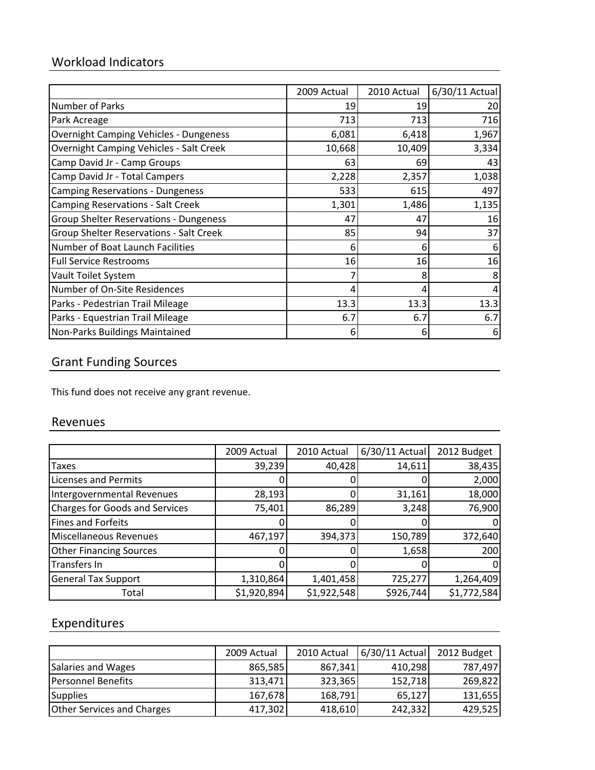# Workload Indicators

|                                                | 2009 Actual | 2010 Actual | 6/30/11 Actual |
|------------------------------------------------|-------------|-------------|----------------|
| Number of Parks                                | 19          | 19          | 20             |
| Park Acreage                                   | 713         | 713         | 716            |
| <b>Overnight Camping Vehicles - Dungeness</b>  | 6,081       | 6,418       | 1,967          |
| <b>Overnight Camping Vehicles - Salt Creek</b> | 10,668      | 10,409      | 3,334          |
| Camp David Jr - Camp Groups                    | 63          | 69          | 43             |
| Camp David Jr - Total Campers                  | 2,228       | 2,357       | 1,038          |
| <b>Camping Reservations - Dungeness</b>        | 533         | 615         | 497            |
| <b>Camping Reservations - Salt Creek</b>       | 1,301       | 1,486       | 1,135          |
| <b>Group Shelter Reservations - Dungeness</b>  | 47          | 47          | 16             |
| Group Shelter Reservations - Salt Creek        | 85          | 94          | 37             |
| Number of Boat Launch Facilities               | 6           | 6           | b              |
| <b>Full Service Restrooms</b>                  | 16          | 16          | 16             |
| Vault Toilet System                            |             | 8           |                |
| Number of On-Site Residences                   | 4           | 4           |                |
| Parks - Pedestrian Trail Mileage               | 13.3        | 13.3        | 13.3           |
| Parks - Equestrian Trail Mileage               | 6.7         | 6.7         | 6.7            |
| Non-Parks Buildings Maintained                 | 6           | 6           | 6              |

## Grant Funding Sources

This fund does not receive any grant revenue.

### Revenues

|                                | 2009 Actual | 2010 Actual | 6/30/11 Actual | 2012 Budget |
|--------------------------------|-------------|-------------|----------------|-------------|
| Taxes                          | 39,239      | 40,428      | 14,611         | 38,435      |
| <b>Licenses and Permits</b>    |             |             |                | 2,000       |
| Intergovernmental Revenues     | 28,193      |             | 31,161         | 18,000      |
| Charges for Goods and Services | 75,401      | 86,289      | 3,248          | 76,900      |
| <b>Fines and Forfeits</b>      |             |             |                | 0           |
| Miscellaneous Revenues         | 467,197     | 394,373     | 150,789        | 372,640     |
| <b>Other Financing Sources</b> |             |             | 1,658          | 200         |
| Transfers In                   |             |             |                | $\Omega$    |
| <b>General Tax Support</b>     | 1,310,864   | 1,401,458   | 725,277        | 1,264,409   |
| Total                          | \$1,920,894 | \$1,922,548 | \$926,744      | \$1,772,584 |

## Expenditures

|                                   | 2009 Actual | 2010 Actual | 6/30/11 Actual | 2012 Budget |
|-----------------------------------|-------------|-------------|----------------|-------------|
| Salaries and Wages                | 865,585     | 867,341     | 410,298        | 787,497     |
| <b>Personnel Benefits</b>         | 313,471     | 323,365     | 152,718        | 269,822     |
| <b>Supplies</b>                   | 167,678     | 168,791     | 65,127         | 131,655     |
| <b>Other Services and Charges</b> | 417,302     | 418,610     | 242,332        | 429,525     |